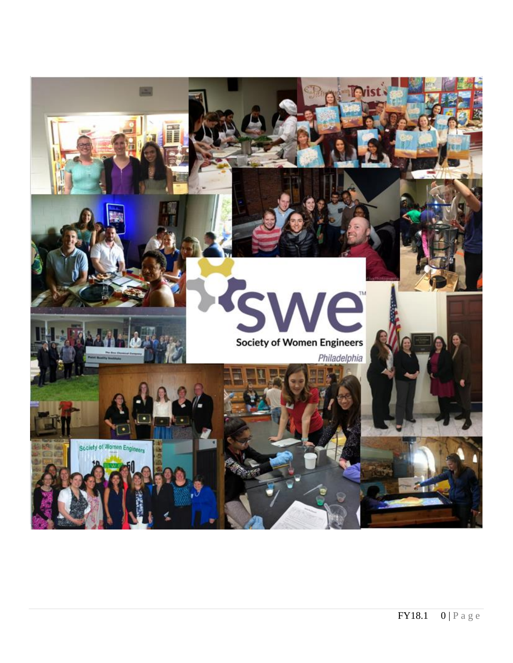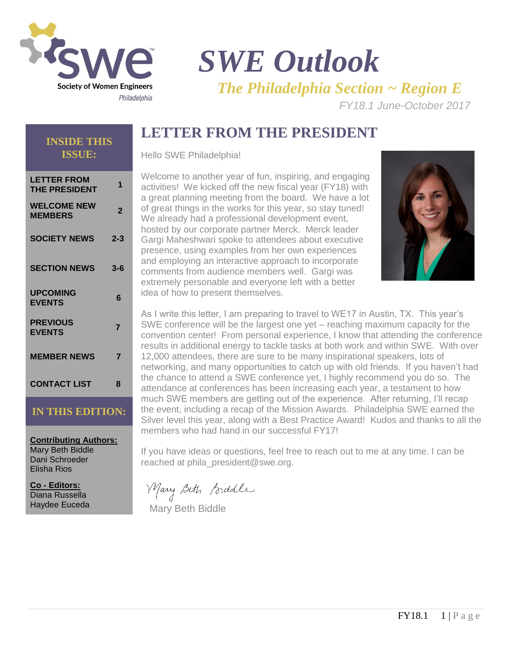

# *SWE Outlook The Philadelphia Section ~ Region E*

*FY18.1 June-October 2017* 

## **LETTER FROM THE PRESIDENT**

### **INSIDE THIS ISSUE:**

| <b>LETTER FROM</b><br><b>THE PRESIDENT</b> | 1              |
|--------------------------------------------|----------------|
| <b>WELCOME NEW</b><br><b>MEMBERS</b>       | $\overline{2}$ |
| <b>SOCIETY NEWS</b>                        | $2 - 3$        |
| <b>SECTION NEWS</b>                        | $3 - 6$        |
| <b>UPCOMING</b><br><b>EVENTS</b>           | 6              |
| <b>PREVIOUS</b><br><b>EVENTS</b>           | 7              |
| <b>MEMBER NEWS</b>                         | 7              |
| <b>CONTACT LIST</b>                        | 8              |

### **IN THIS EDITION:**

**Contributing Authors:** Mary Beth Biddle Dani Schroeder Elisha Rios

**Co - Editors:** Diana Russella Haydee Euceda Hello SWE Philadelphia!

Welcome to another year of fun, inspiring, and engaging activities! We kicked off the new fiscal year (FY18) with a great planning meeting from the board. We have a lot of great things in the works for this year, so stay tuned! We already had a professional development event, hosted by our corporate partner Merck. Merck leader Gargi Maheshwari spoke to attendees about executive presence, using examples from her own experiences and employing an interactive approach to incorporate comments from audience members well. Gargi was extremely personable and everyone left with a better idea of how to present themselves.



As I write this letter, I am preparing to travel to WE17 in Austin, TX. This year's SWE conference will be the largest one yet – reaching maximum capacity for the convention center! From personal experience, I know that attending the conference results in additional energy to tackle tasks at both work and within SWE. With over 12,000 attendees, there are sure to be many inspirational speakers, lots of networking, and many opportunities to catch up with old friends. If you haven't had the chance to attend a SWE conference yet, I highly recommend you do so. The attendance at conferences has been increasing each year, a testament to how much SWE members are getting out of the experience. After returning, I'll recap the event, including a recap of the Mission Awards. Philadelphia SWE earned the Silver level this year, along with a Best Practice Award! Kudos and thanks to all the members who had hand in our successful FY17!

If you have ideas or questions, feel free to reach out to me at any time. I can be reached at phila\_president@swe.org.

Mary Beth Biddle

Mary Beth Biddle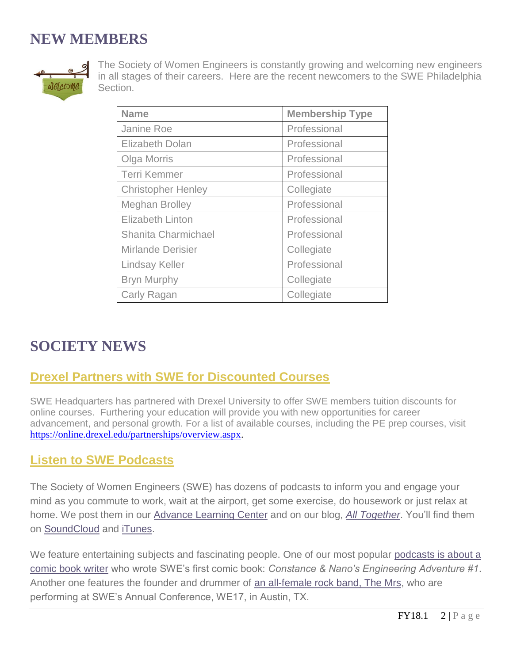## **NEW MEMBERS**



The Society of Women Engineers is constantly growing and welcoming new engineers in all stages of their careers. Here are the recent newcomers to the SWE Philadelphia Section.

| <b>Name</b>               | <b>Membership Type</b> |
|---------------------------|------------------------|
| Janine Roe                | Professional           |
| <b>Elizabeth Dolan</b>    | Professional           |
| Olga Morris               | Professional           |
| <b>Terri Kemmer</b>       | Professional           |
| <b>Christopher Henley</b> | Collegiate             |
| <b>Meghan Brolley</b>     | Professional           |
| <b>Elizabeth Linton</b>   | Professional           |
| Shanita Charmichael       | Professional           |
| <b>Mirlande Derisier</b>  | Collegiate             |
| <b>Lindsay Keller</b>     | Professional           |
| <b>Bryn Murphy</b>        | Collegiate             |
| Carly Ragan               | Collegiate             |

## **SOCIETY NEWS**

## **Drexel Partners with SWE for Discounted Courses**

SWE Headquarters has partnered with Drexel University to offer SWE members tuition discounts for online courses. Furthering your education will provide you with new opportunities for career advancement, and personal growth. For a list of available courses, including the PE prep courses, visit [https://online.drexel.edu/partnerships/overview.aspx.](https://online.drexel.edu/partnerships/mypartner.aspx?partnerid=7531)

### **Listen to SWE Podcasts**

The Society of Women Engineers (SWE) has dozens of podcasts to inform you and engage your mind as you commute to work, wait at the airport, get some exercise, do housework or just relax at home. We post them in our [Advance Learning Center](https://urldefense.proofpoint.com/v2/url?u=http-3A__SWE.informz.net_z_cjUucD9taT0yMjMzOTE0JnA9MSZ1PTM2OTQxMDIwMCZsaT0xMjkwMDE0Ng_index.html&d=DwMBaQ&c=F5qNGIc8vBNKKqPbpKxOcFhXsOwF7YYLtYbYjCsgcyQ&r=HsgDFTgHhgmmVh3aESNHuqfCtyeK_5pt1pTGfDymUIE&m=xopITrSF_1u9SDToxZPvEWavIxEviE3gqRFBVXNenGg&s=CgZVYnYhWn8FvPmlLk3Fae30x6ammd4q6EWUYVSLg-A&e=) and on our blog, *[All Together](https://urldefense.proofpoint.com/v2/url?u=http-3A__SWE.informz.net_z_cjUucD9taT0yMjMzOTE0JnA9MSZ1PTM2OTQxMDIwMCZsaT0xMjkwMDE0Nw_index.html&d=DwMBaQ&c=F5qNGIc8vBNKKqPbpKxOcFhXsOwF7YYLtYbYjCsgcyQ&r=HsgDFTgHhgmmVh3aESNHuqfCtyeK_5pt1pTGfDymUIE&m=xopITrSF_1u9SDToxZPvEWavIxEviE3gqRFBVXNenGg&s=8iZJjJWoYq_8EKNSBp618Hi-CMgTtaO0Aj6j06sVMhA&e=)*. You'll find them on [SoundCloud](https://urldefense.proofpoint.com/v2/url?u=http-3A__SWE.informz.net_z_cjUucD9taT0yMjMzOTE0JnA9MSZ1PTM2OTQxMDIwMCZsaT0xMjkwMDE0OA_index.html&d=DwMBaQ&c=F5qNGIc8vBNKKqPbpKxOcFhXsOwF7YYLtYbYjCsgcyQ&r=HsgDFTgHhgmmVh3aESNHuqfCtyeK_5pt1pTGfDymUIE&m=xopITrSF_1u9SDToxZPvEWavIxEviE3gqRFBVXNenGg&s=KilUZrMtV1v4Dnu-5BDe5LVvYBdgXQj6JUkT1fVfczA&e=) and [iTunes.](https://urldefense.proofpoint.com/v2/url?u=http-3A__SWE.informz.net_z_cjUucD9taT0yMjMzOTE0JnA9MSZ1PTM2OTQxMDIwMCZsaT0xMjkwMDE0OQ_index.html&d=DwMBaQ&c=F5qNGIc8vBNKKqPbpKxOcFhXsOwF7YYLtYbYjCsgcyQ&r=HsgDFTgHhgmmVh3aESNHuqfCtyeK_5pt1pTGfDymUIE&m=xopITrSF_1u9SDToxZPvEWavIxEviE3gqRFBVXNenGg&s=9BlfBDFgfmpsUgzrMx-jG67QJpUA8RBLyiJSIuBSzlw&e=)

We feature entertaining subjects and fascinating people. One of our most popular podcasts is about a [comic book writer](http://swe.informz.net/z/cjUucD9taT0yMjMzOTE0JnA9MSZ1PTM2OTQwOTI2OCZsaT0xMjkwMDE1MA/index.html) who wrote SWE's first comic book: *Constance & Nano's Engineering Adventure #1*. Another one features the founder and drummer of [an all-female rock band, The Mrs,](http://swe.informz.net/z/cjUucD9taT0yMjMzOTE0JnA9MSZ1PTM2OTQwOTI2OCZsaT0xMjkwMDE1MQ/index.html) who are performing at SWE's Annual Conference, WE17, in Austin, TX.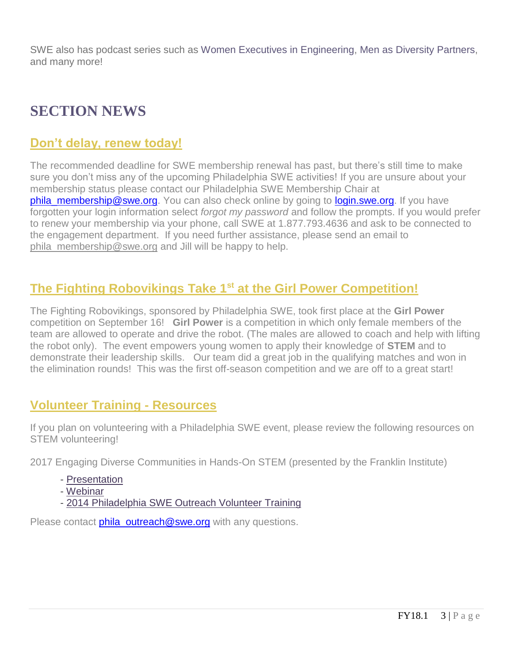SWE also has podcast series such as [Women Executives in Engineering,](http://swe.informz.net/z/cjUucD9taT0yMjMzOTE0JnA9MSZ1PTM2OTQwOTI2OCZsaT0xMjkwMDE1Mg/index.html) [Men as Diversity Partners,](http://swe.informz.net/z/cjUucD9taT0yMjMzOTE0JnA9MSZ1PTM2OTQwOTI2OCZsaT0xMjkwMDE1Mw/index.html) and many more!

## **SECTION NEWS**

### **Don't delay, renew today!**

The recommended deadline for SWE membership renewal has past, but there's still time to make sure you don't miss any of the upcoming Philadelphia SWE activities! If you are unsure about your membership status please contact our Philadelphia SWE Membership Chair at [phila\\_membership@swe.org.](mailto:phila_membership@swe.org) You can also check online by going to [login.swe.org.](login.swe.org) If you have forgotten your login information select *forgot my password* and follow the prompts. If you would prefer to renew your membership via your phone, call SWE at 1.877.793.4636 and ask to be connected to the engagement department. If you need further assistance, please send an email to [phila\\_membership@swe.org](mailto:phila_membership@swe.org) and Jill will be happy to help.

## **The Fighting Robovikings Take 1st at the Girl Power Competition!**

The Fighting Robovikings, sponsored by Philadelphia SWE, took first place at the **Girl Power** competition on September 16! **Girl Power** is a competition in which only female members of the team are allowed to operate and drive the robot. (The males are allowed to coach and help with lifting the robot only). The event empowers young women to apply their knowledge of **STEM** and to demonstrate their leadership skills. Our team did a great job in the qualifying matches and won in the elimination rounds! This was the first off-season competition and we are off to a great start!

### **Volunteer Training - Resources**

If you plan on volunteering with a Philadelphia SWE event, please review the following resources on STEM volunteering!

2017 Engaging Diverse Communities in Hands-On STEM (presented by the Franklin Institute)

- [Presentation](http://r20.rs6.net/tn.jsp?f=001xOXu840DJNqWAtNsj68doxSSaMJqlnOaRypjAPzGXxH_Cu6beFKuHj5RRyTNOoxkN_4_zHGZg8kBwK1oz4hbLfYRWWYIMDqgBUu2jAFiysjW--oUFoPeaAvynW7pId1pcZ_1raV99H9QZZ6VlZKJ2sSEf0FATt8AlCU8rOuozUYknPJS2qfKWc5s2k3KwgXaxi-QOx8jq5DQ5jGNL6vtHV6F2ST8zqewinnn_lfAX-X2zIlm6eTa1uvGwB3SlJKE&c=35evDAJj3oWPyl4VvkRXS5yXW8jlneYF-UufJ1XMka8bzn7qe6-Dfw==&ch=xqjsc6qIRmtq9IboekzvjlanLUSzsrBCM4SPOcZiZuAc0523tqbgFA==)
- [Webinar](http://r20.rs6.net/tn.jsp?f=001xOXu840DJNqWAtNsj68doxSSaMJqlnOaRypjAPzGXxH_Cu6beFKuHj5RRyTNOoxk2vUHOKKTBKTQCZvqEgCVhFIvYcagV9WEPI5-6eb_DGiLSAsCbenG2EQ4Kjr7ZKIn8B4BuDlB0P19p0cJ-Z7ERuhLy2_ZRzWOCQ7VDPm78qGKANYn8AlFo0Q4B6Os9Q0VvUD0eu2fzAGpifGajCt3HZNetL963MPDt0iLgQVF_mM=&c=35evDAJj3oWPyl4VvkRXS5yXW8jlneYF-UufJ1XMka8bzn7qe6-Dfw==&ch=xqjsc6qIRmtq9IboekzvjlanLUSzsrBCM4SPOcZiZuAc0523tqbgFA==)
- [2014 Philadelphia SWE Outreach Volunteer Training](http://r20.rs6.net/tn.jsp?f=001xOXu840DJNqWAtNsj68doxSSaMJqlnOaRypjAPzGXxH_Cu6beFKuHj5RRyTNOoxkyESsq9LFEn3dKYgvhmuMi2IYFSxL5fwVl2h7AsZWmGC6JghICHcs6wB0XiTjI7R9MUQjqFUKojTyaPYRHOY9FX29DU0lQ6FB3te40v4f1-VwE9LuMwqoIcGv2n7wnA-ONMCM-rB9qgSdrbQj9Gk5Z97rbQJflk0uHBoKRecFXbvpQb0Lv13xLg==&c=35evDAJj3oWPyl4VvkRXS5yXW8jlneYF-UufJ1XMka8bzn7qe6-Dfw==&ch=xqjsc6qIRmtq9IboekzvjlanLUSzsrBCM4SPOcZiZuAc0523tqbgFA==)

Please contact phila outreach@swe.org with any questions.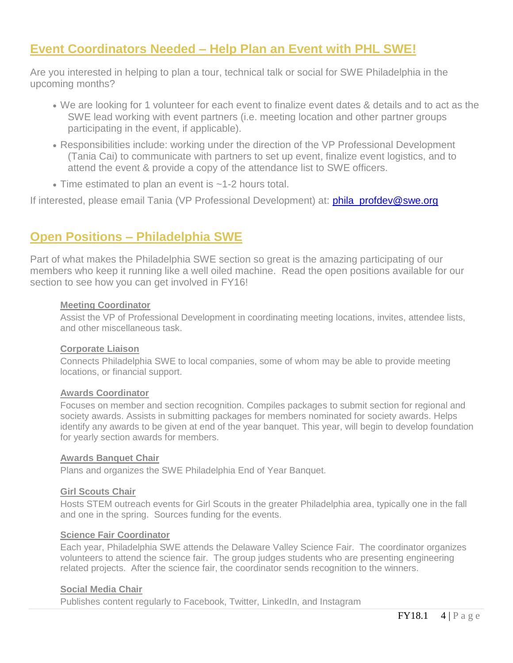## **Event Coordinators Needed – Help Plan an Event with PHL SWE!**

Are you interested in helping to plan a tour, technical talk or social for SWE Philadelphia in the upcoming months?

- We are looking for 1 volunteer for each event to finalize event dates & details and to act as the SWE lead working with event partners (i.e. meeting location and other partner groups participating in the event, if applicable).
- Responsibilities include: working under the direction of the VP Professional Development (Tania Cai) to communicate with partners to set up event, finalize event logistics, and to attend the event & provide a copy of the attendance list to SWE officers.
- Time estimated to plan an event is ~1-2 hours total.

If interested, please email Tania (VP Professional Development) at: **[phila\\_profdev@swe.org](mailto:phila_profdev@swe.org)** 

## **Open Positions – Philadelphia SWE**

Part of what makes the Philadelphia SWE section so great is the amazing participating of our members who keep it running like a well oiled machine. Read the open positions available for our section to see how you can get involved in FY16!

#### **Meeting Coordinator**

Assist the VP of Professional Development in coordinating meeting locations, invites, attendee lists, and other miscellaneous task.

#### **Corporate Liaison**

Connects Philadelphia SWE to local companies, some of whom may be able to provide meeting locations, or financial support.

#### **Awards Coordinator**

Focuses on member and section recognition. Compiles packages to submit section for regional and society awards. Assists in submitting packages for members nominated for society awards. Helps identify any awards to be given at end of the year banquet. This year, will begin to develop foundation for yearly section awards for members.

#### **Awards Banquet Chair**

Plans and organizes the SWE Philadelphia End of Year Banquet.

#### **Girl Scouts Chair**

Hosts STEM outreach events for Girl Scouts in the greater Philadelphia area, typically one in the fall and one in the spring. Sources funding for the events.

#### **Science Fair Coordinator**

Each year, Philadelphia SWE attends the Delaware Valley Science Fair. The coordinator organizes volunteers to attend the science fair. The group judges students who are presenting engineering related projects. After the science fair, the coordinator sends recognition to the winners.

#### **Social Media Chair**

Publishes content regularly to Facebook, Twitter, LinkedIn, and Instagram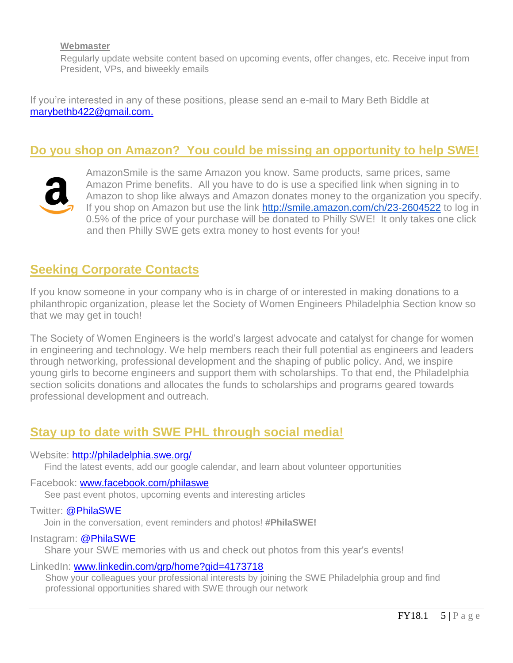#### **Webmaster**

Regularly update website content based on upcoming events, offer changes, etc. Receive input from President, VPs, and biweekly emails

If you're interested in any of these positions, please send an e-mail to Mary Beth Biddle at [marybethb422@gmail.com.](mailto:marybethb422@gmail.com?subject=Philadelphia%20SWE)

### **Do you shop on Amazon? You could be missing an opportunity to help SWE!**



AmazonSmile is the same Amazon you know. Same products, same prices, same Amazon Prime benefits. All you have to do is use a specified link when signing in to Amazon to shop like always and Amazon donates money to the organization you specify. If you shop on Amazon but use the link <http://smile.amazon.com/ch/23-2604522> to log in 0.5% of the price of your purchase will be donated to Philly SWE! It only takes one click and then Philly SWE gets extra money to host events for you!

### **Seeking Corporate Contacts**

If you know someone in your company who is in charge of or interested in making donations to a philanthropic organization, please let the Society of Women Engineers Philadelphia Section know so that we may get in touch!

The Society of Women Engineers is the world's largest advocate and catalyst for change for women in engineering and technology. We help members reach their full potential as engineers and leaders through networking, professional development and the shaping of public policy. And, we inspire young girls to become engineers and support them with scholarships. To that end, the Philadelphia section solicits donations and allocates the funds to scholarships and programs geared towards professional development and outreach.

### **Stay up to date with SWE PHL through social media!**

#### Website: <http://philadelphia.swe.org/>

Find the latest events, add our google calendar, and learn about volunteer opportunities

#### Facebook: [www.facebook.com/philaswe](http://www.facebook.com/philaswe)

See past event photos, upcoming events and interesting articles

#### Twitter: @PhilaSWE

Join in the conversation, event reminders and photos! **#PhilaSWE!**

#### Instagram: @PhilaSWE

Share your SWE memories with us and check out photos from this year's events!

#### LinkedIn: [www.linkedin.com/grp/home?gid=4173718](http://www.linkedin.com/grp/home?gid=4173718)

Show your colleagues your professional interests by joining the SWE Philadelphia group and find professional opportunities shared with SWE through our network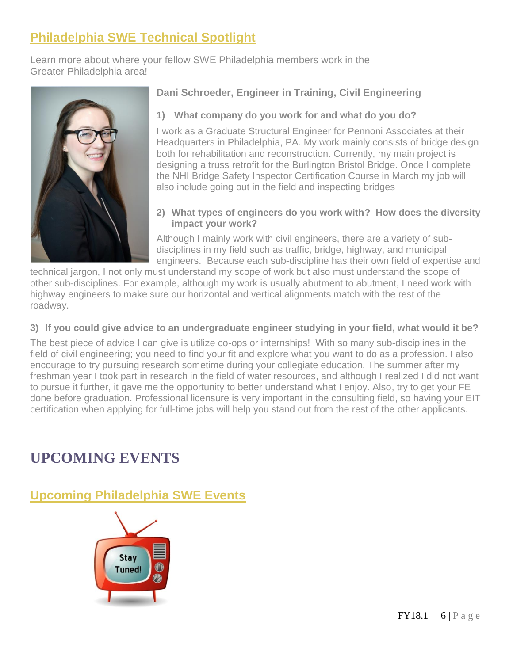## **Philadelphia SWE Technical Spotlight**

Learn more about where your fellow SWE Philadelphia members work in the Greater Philadelphia area!



### **Dani Schroeder, Engineer in Training, Civil Engineering**

### **1) What company do you work for and what do you do?**

I work as a Graduate Structural Engineer for Pennoni Associates at their Headquarters in Philadelphia, PA. My work mainly consists of bridge design both for rehabilitation and reconstruction. Currently, my main project is designing a truss retrofit for the Burlington Bristol Bridge. Once I complete the NHI Bridge Safety Inspector Certification Course in March my job will also include going out in the field and inspecting bridges

#### **2) What types of engineers do you work with? How does the diversity impact your work?**

Although I mainly work with civil engineers, there are a variety of subdisciplines in my field such as traffic, bridge, highway, and municipal engineers. Because each sub-discipline has their own field of expertise and

technical jargon, I not only must understand my scope of work but also must understand the scope of other sub-disciplines. For example, although my work is usually abutment to abutment, I need work with highway engineers to make sure our horizontal and vertical alignments match with the rest of the roadway.

### **3) If you could give advice to an undergraduate engineer studying in your field, what would it be?**

The best piece of advice I can give is utilize co-ops or internships! With so many sub-disciplines in the field of civil engineering; you need to find your fit and explore what you want to do as a profession. I also encourage to try pursuing research sometime during your collegiate education. The summer after my freshman year I took part in research in the field of water resources, and although I realized I did not want to pursue it further, it gave me the opportunity to better understand what I enjoy. Also, try to get your FE done before graduation. Professional licensure is very important in the consulting field, so having your EIT certification when applying for full-time jobs will help you stand out from the rest of the other applicants.

## **UPCOMING EVENTS**

**Upcoming Philadelphia SWE Events**

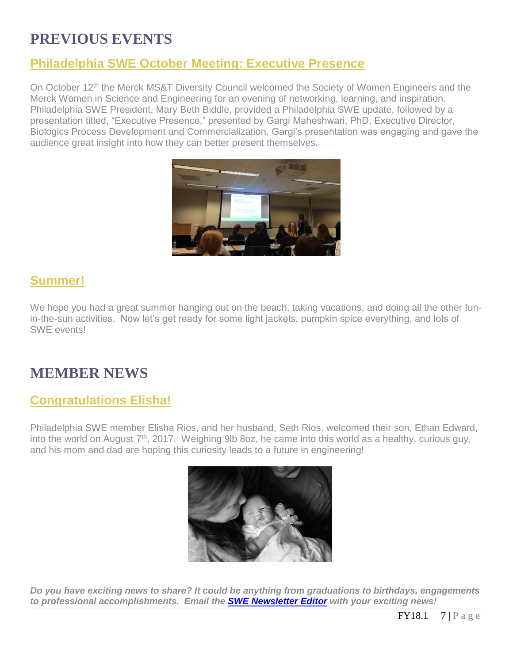## **PREVIOUS EVENTS**

## **Philadelphia SWE October Meeting: Executive Presence**

On October 12<sup>th</sup> the Merck MS&T Diversity Council welcomed the Society of Women Engineers and the Merck Women in Science and Engineering for an evening of networking, learning, and inspiration. Philadelphia SWE President, Mary Beth Biddle, provided a Philadelphia SWE update, followed by a presentation titled, "Executive Presence," presented by Gargi Maheshwari, PhD, Executive Director, Biologics Process Development and Commercialization. Gargi's presentation was engaging and gave the audience great insight into how they can better present themselves.



## **Summer!**

We hope you had a great summer hanging out on the beach, taking vacations, and doing all the other funin-the-sun activities. Now let's get ready for some light jackets, pumpkin spice everything, and lots of SWE events!

## **MEMBER NEWS**

## **Congratulations Elisha!**

Philadelphia SWE member Elisha Rios, and her husband, Seth Rios, welcomed their son, Ethan Edward, into the world on August 7<sup>th</sup>, 2017. Weighing 9lb 8oz, he came into this world as a healthy, curious guy, and his mom and dad are hoping this curiosity leads to a future in engineering!



*Do you have exciting news to share? It could be anything from graduations to birthdays, engagements to professional accomplishments. Email the [SWE Newsletter Editor](mailto:philasweeditors@gmail.com) with your exciting news!*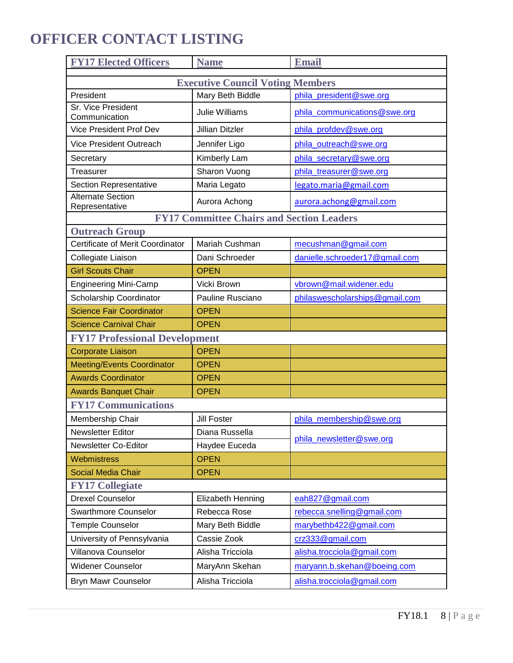## **OFFICER CONTACT LISTING**

| <b>FY17 Elected Officers</b>               | <b>Name</b>                                      | <b>Email</b>                   |  |  |
|--------------------------------------------|--------------------------------------------------|--------------------------------|--|--|
| <b>Executive Council Voting Members</b>    |                                                  |                                |  |  |
| President                                  | Mary Beth Biddle                                 | phila president@swe.org        |  |  |
| Sr. Vice President<br>Communication        | <b>Julie Williams</b>                            | phila_communications@swe.org   |  |  |
| <b>Vice President Prof Dev</b>             | <b>Jillian Ditzler</b>                           | phila_profdev@swe.org          |  |  |
| <b>Vice President Outreach</b>             | Jennifer Ligo                                    | phila outreach@swe.org         |  |  |
| Secretary                                  | Kimberly Lam                                     | phila_secretary@swe.org        |  |  |
| Treasurer                                  | Sharon Vuong                                     | phila treasurer@swe.org        |  |  |
| Section Representative                     | Maria Legato                                     | legato.maria@gmail.com         |  |  |
| <b>Alternate Section</b><br>Representative | Aurora Achong                                    | aurora.achong@gmail.com        |  |  |
|                                            | <b>FY17 Committee Chairs and Section Leaders</b> |                                |  |  |
| <b>Outreach Group</b>                      |                                                  |                                |  |  |
| Certificate of Merit Coordinator           | Mariah Cushman                                   | mecushman@gmail.com            |  |  |
| Collegiate Liaison                         | Dani Schroeder                                   | danielle.schroeder17@gmail.com |  |  |
| <b>Girl Scouts Chair</b>                   | <b>OPEN</b>                                      |                                |  |  |
| <b>Engineering Mini-Camp</b>               | Vicki Brown                                      | vbrown@mail.widener.edu        |  |  |
| Scholarship Coordinator                    | Pauline Rusciano                                 | philaswescholarships@gmail.com |  |  |
| <b>Science Fair Coordinator</b>            | <b>OPEN</b>                                      |                                |  |  |
| <b>Science Carnival Chair</b>              | <b>OPEN</b>                                      |                                |  |  |
| <b>FY17 Professional Development</b>       |                                                  |                                |  |  |
| <b>Corporate Liaison</b>                   | <b>OPEN</b>                                      |                                |  |  |
| <b>Meeting/Events Coordinator</b>          | <b>OPEN</b>                                      |                                |  |  |
| <b>Awards Coordinator</b>                  | <b>OPEN</b>                                      |                                |  |  |
| <b>Awards Banquet Chair</b>                | <b>OPEN</b>                                      |                                |  |  |
| <b>FY17 Communications</b>                 |                                                  |                                |  |  |
| Membership Chair                           | <b>Jill Foster</b>                               | phila membership@swe.org       |  |  |
| <b>Newsletter Editor</b>                   | Diana Russella                                   | phila newsletter@swe.org       |  |  |
| Newsletter Co-Editor                       | Haydee Euceda                                    |                                |  |  |
| Webmistress                                | <b>OPEN</b>                                      |                                |  |  |
| <b>Social Media Chair</b>                  | <b>OPEN</b>                                      |                                |  |  |
| <b>FY17 Collegiate</b>                     |                                                  |                                |  |  |
| <b>Drexel Counselor</b>                    | Elizabeth Henning                                | eah827@gmail.com               |  |  |
| <b>Swarthmore Counselor</b>                | Rebecca Rose                                     | rebecca.snelling@gmail.com     |  |  |
| <b>Temple Counselor</b>                    | Mary Beth Biddle                                 | marybethb422@gmail.com         |  |  |
| University of Pennsylvania                 | Cassie Zook                                      | crz333@gmail.com               |  |  |
| Villanova Counselor                        | Alisha Tricciola                                 | alisha.trocciola@gmail.com     |  |  |
| <b>Widener Counselor</b>                   | MaryAnn Skehan                                   | maryann.b.skehan@boeing.com    |  |  |
| Bryn Mawr Counselor                        | Alisha Tricciola                                 | alisha.trocciola@gmail.com     |  |  |